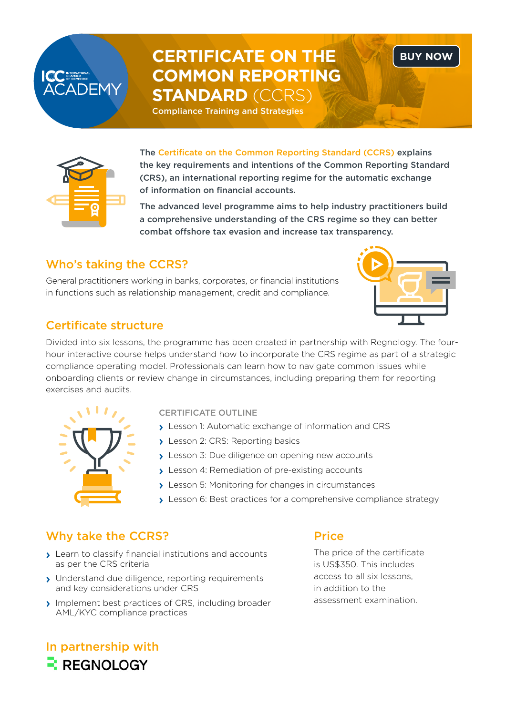# **CERTIFICATE ON THE COMMON REPORTING STANDARD** (CCRS)

Compliance Training and Strategies



**ADEMY** 

The Certificate on the Common Reporting Standard (CCRS) explains the key requirements and intentions of the Common Reporting Standard (CRS), an international reporting regime for the automatic exchange of information on financial accounts.

The advanced level programme aims to help industry practitioners build a comprehensive understanding of the CRS regime so they can better combat offshore tax evasion and increase tax transparency.

## Who's taking the CCRS?

General practitioners working in banks, corporates, or financial institutions in functions such as relationship management, credit and compliance.



**[BUY NOW](https://icc.academy/certifications/common-reporting-standard/)**

### Certificate structure

Divided into six lessons, the programme has been created in partnership with Regnology. The fourhour interactive course helps understand how to incorporate the CRS regime as part of a strategic compliance operating model. Professionals can learn how to navigate common issues while onboarding clients or review change in circumstances, including preparing them for reporting exercises and audits.



### CERTIFICATE OUTLINE

- › Lesson 1: Automatic exchange of information and CRS
- › Lesson 2: CRS: Reporting basics
- › Lesson 3: Due diligence on opening new accounts
- › Lesson 4: Remediation of pre-existing accounts
- › Lesson 5: Monitoring for changes in circumstances
- › Lesson 6: Best practices for a comprehensive compliance strategy

# Why take the CCRS?

- › Learn to classify financial institutions and accounts as per the CRS criteria
- › Understand due diligence, reporting requirements and key considerations under CRS
- › Implement best practices of CRS, including broader AML/KYC compliance practices

**Price** 

The price of the certificate is US\$350. This includes access to all six lessons, in addition to the assessment examination.